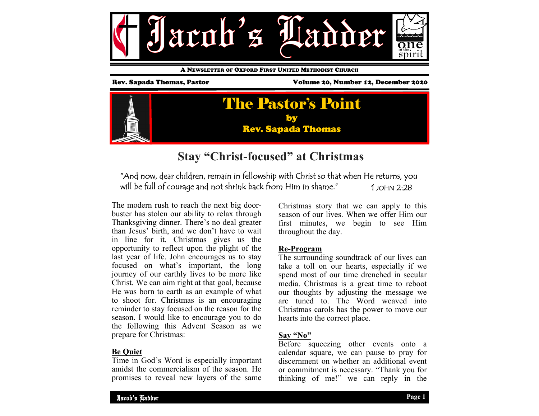

A NEWSLETTER OF OXFORD FIRST UNITED METHODIST CHURCH

Rev. Sapada Thomas, Pastor Volume 20, Number 12, December 2020



## **Stay "Christ-focused" at Christmas**

### "And now, dear children, remain in fellowship with Christ so that when He returns, you will be full of courage and not shrink back from Him in shame." 1 JOHN 2:28

The modern rush to reach the next big doorbuster has stolen our ability to relax through Thanksgiving dinner. There's no deal greater than Jesus' birth, and we don't have to wait in line for it. Christmas gives us the opportunity to reflect upon the plight of the last year of life. John encourages us to stay focused on what's important, the long journey of our earthly lives to be more like Christ. We can aim right at that goal, because He was born to earth as an example of what to shoot for. Christmas is an encouraging reminder to stay focused on the reason for the season. I would like to encourage you to do the following this Advent Season as we prepare for Christmas:

#### **Be Quiet**

Time in God's Word is especially important amidst the commercialism of the season. He promises to reveal new layers of the same

Christmas story that we can apply to this season of our lives. When we offer Him our first minutes, we begin to see Him throughout the day.

#### **Re-Program**

The surrounding soundtrack of our lives can take a toll on our hearts, especially if we spend most of our time drenched in secular media. Christmas is a great time to reboot our thoughts by adjusting the message we are tuned to. The Word weaved into Christmas carols has the power to move our hearts into the correct place.

#### **Say "No"**

Before squeezing other events onto a calendar square, we can pause to pray for discernment on whether an additional event or commitment is necessary. "Thank you for thinking of me!" we can reply in the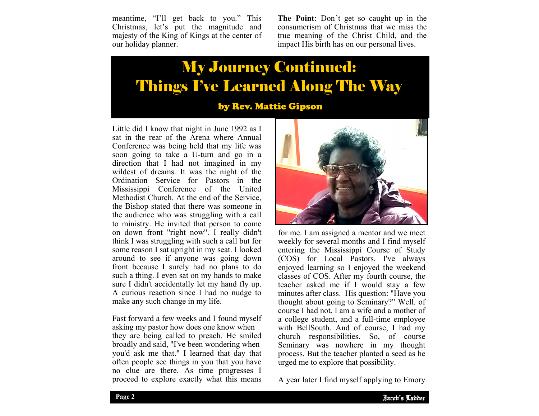meantime, "I'll get back to you." This Christmas, let's put the magnitude and majesty of the King of Kings at the center of our holiday planner.

**The Point**: Don't get so caught up in the consumerism of Christmas that we miss the true meaning of the Christ Child, and the impact His birth has on our personal lives.

# My Journey Continued: Things I've Learned Along The Way

by Rev. Mattie Gipson

Little did I know that night in June 1992 as I sat in the rear of the Arena where Annual Conference was being held that my life was soon going to take a U-turn and go in a direction that I had not imagined in my wildest of dreams. It was the night of the Ordination Service for Pastors in the Mississippi Conference of the United Methodist Church. At the end of the Service, the Bishop stated that there was someone in the audience who was struggling with a call to ministry. He invited that person to come on down front "right now". I really didn't think I was struggling with such a call but for some reason I sat upright in my seat. I looked around to see if anyone was going down front because I surely had no plans to do such a thing. I even sat on my hands to make sure I didn't accidentally let my hand fly up. A curious reaction since I had no nudge to make any such change in my life.

Fast forward a few weeks and I found myself asking my pastor how does one know when they are being called to preach. He smiled broadly and said, "I've been wondering when you'd ask me that." I learned that day that often people see things in you that you have no clue are there. As time progresses I proceed to explore exactly what this means



process. But the teacher planted a security of the teacher planted a security. for me. I am assigned a mentor and we meet weekly for several months and I find myself entering the Mississippi Course of Study (COS) for Local Pastors. I've always enjoyed learning so I enjoyed the weekend classes of COS. After my fourth course, the teacher asked me if I would stay a few minutes after class. His question: "Have you thought about going to Seminary?" Well. of course I had not. I am a wife and a mother of a college student, and a full-time employee with BellSouth. And of course, I had my church responsibilities. So, of course Seminary was nowhere in my thought process. But the teacher planted a seed as he

A year later I find myself applying to Emory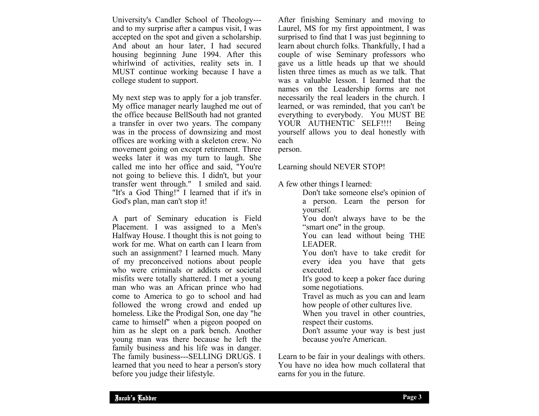University's Candler School of Theology-- and to my surprise after a campus visit, I was accepted on the spot and given a scholarship. And about an hour later, I had secured housing beginning June 1994. After this whirlwind of activities, reality sets in. I MUST continue working because I have a college student to support.

My next step was to apply for a job transfer. My office manager nearly laughed me out of the office because BellSouth had not granted a transfer in over two years. The company was in the process of downsizing and most offices are working with a skeleton crew. No movement going on except retirement. Three weeks later it was my turn to laugh. She called me into her office and said, "You're not going to believe this. I didn't, but your transfer went through." I smiled and said. "It's a God Thing!" I learned that if it's in God's plan, man can't stop it!

A part of Seminary education is Field Placement. I was assigned to a Men's Halfway House. I thought this is not going to work for me. What on earth can I learn from such an assignment? I learned much. Many of my preconceived notions about people who were criminals or addicts or societal misfits were totally shattered. I met a young man who was an African prince who had come to America to go to school and had followed the wrong crowd and ended up homeless. Like the Prodigal Son, one day "he came to himself" when a pigeon pooped on him as he slept on a park bench. Another young man was there because he left the family business and his life was in danger. The family business---SELLING DRUGS. I learned that you need to hear a person's story before you judge their lifestyle.

After finishing Seminary and moving to Laurel, MS for my first appointment, I was surprised to find that I was just beginning to learn about church folks. Thankfully, I had a couple of wise Seminary professors who gave us a little heads up that we should listen three times as much as we talk. That was a valuable lesson. I learned that the names on the Leadership forms are not necessarily the real leaders in the church. I learned, or was reminded, that you can't be everything to everybody. You MUST BE YOUR AUTHENTIC SELF!!!! Being yourself allows you to deal honestly with each person.

Learning should NEVER STOP!

A few other things I learned:

 Don't take someone else's opinion of a person. Learn the person for yourself. You don't always have to be the "smart one" in the group. You can lead without being THE LEADER. You don't have to take credit for every idea you have that gets executed. It's good to keep a poker face during some negotiations. Travel as much as you can and learn how people of other cultures live. When you travel in other countries, respect their customs. Don't assume your way is best just because you're American.

Learn to be fair in your dealings with others. You have no idea how much collateral that earns for you in the future.